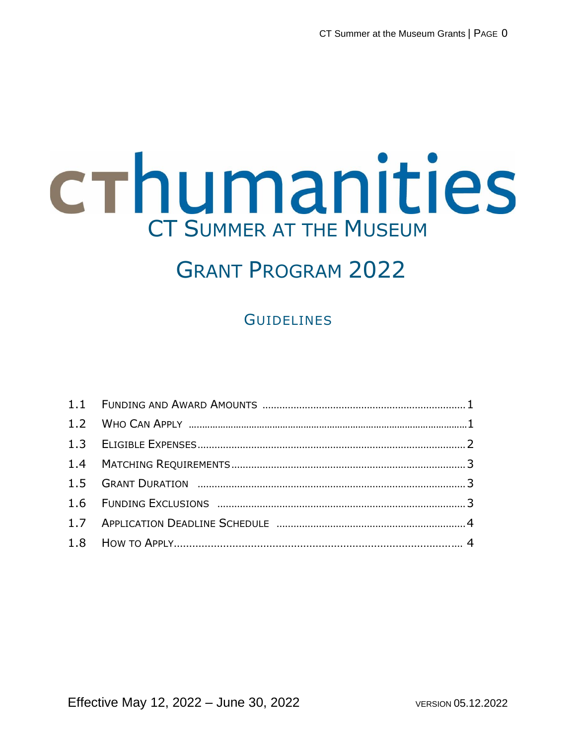# crhumanities CT SUMMER AT THE MUSEUM

## GRANT PROGRAM 2022

### **GUIDELINES**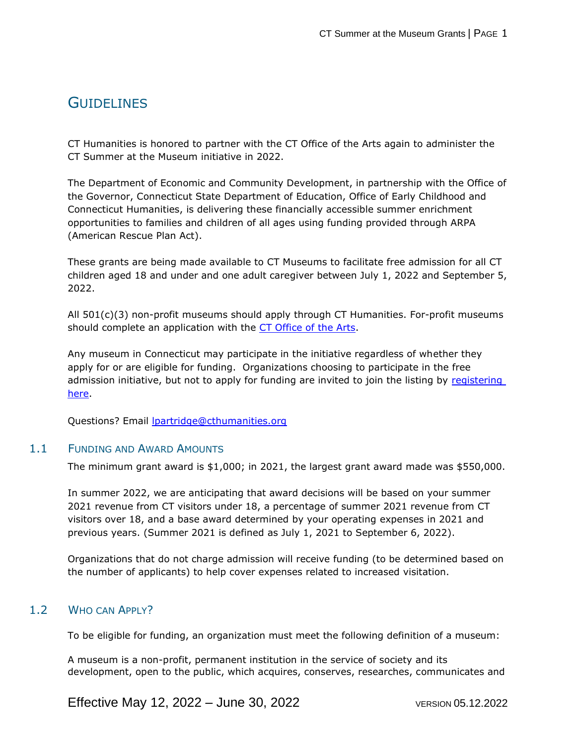#### **GUIDELINES**

CT Humanities is honored to partner with the CT Office of the Arts again to administer the CT Summer at the Museum initiative in 2022.

The Department of Economic and Community Development, in partnership with the Office of the Governor, Connecticut State Department of Education, Office of Early Childhood and Connecticut Humanities, is delivering these financially accessible summer enrichment opportunities to families and children of all ages using funding provided through ARPA (American Rescue Plan Act).

These grants are being made available to CT Museums to facilitate free admission for all CT children aged 18 and under and one adult caregiver between July 1, 2022 and September 5, 2022.

All 501(c)(3) non-profit museums should apply through CT Humanities. For-profit museums should complete an application with the [CT Office of the Arts.](https://portal.ct.gov/DECD/Services/Arts-and-Creativity/Funding-Opportunities)

Any museum in Connecticut may participate in the initiative regardless of whether they apply for or are eligible for funding. Organizations choosing to participate in the free admission initiative, but not to apply for funding are invited to join the listing by [registering](https://www.surveymonkey.com/r/CTMuseumsKidsAreFreeSummer)  [here.](https://www.surveymonkey.com/r/CTMuseumsKidsAreFreeSummer)

Questions? Email [lpartridge@cthumanities.org](mailto:lpartridge@cthumanities.org)

#### 1.1 FUNDING AND AWARD AMOUNTS

The minimum grant award is \$1,000; in 2021, the largest grant award made was \$550,000.

In summer 2022, we are anticipating that award decisions will be based on your summer 2021 revenue from CT visitors under 18, a percentage of summer 2021 revenue from CT visitors over 18, and a base award determined by your operating expenses in 2021 and previous years. (Summer 2021 is defined as July 1, 2021 to September 6, 2022).

Organizations that do not charge admission will receive funding (to be determined based on the number of applicants) to help cover expenses related to increased visitation.

#### 1.2 WHO CAN APPLY?

To be eligible for funding, an organization must meet the following definition of a museum:

A museum is a non-profit, permanent institution in the service of society and its development, open to the public, which acquires, conserves, researches, communicates and

Effective May 12, 2022 – June 30, 2022 VERSION 05.12.2022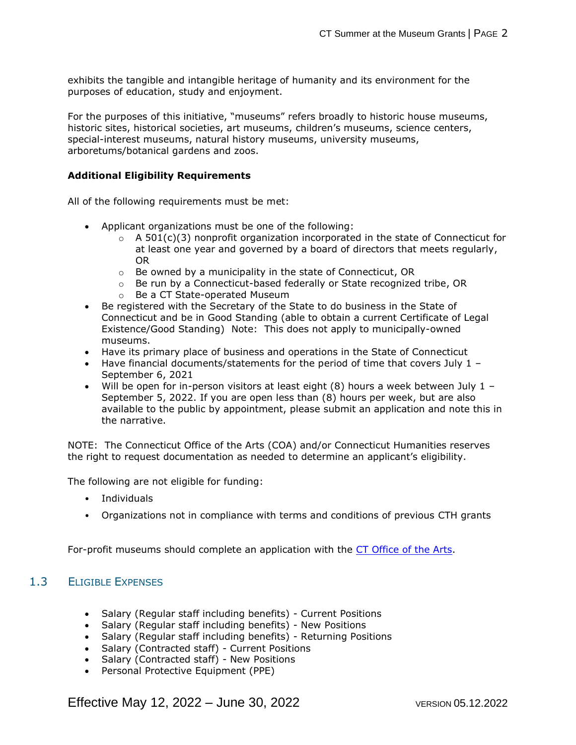exhibits the tangible and intangible heritage of humanity and its environment for the purposes of education, study and enjoyment.

For the purposes of this initiative, "museums" refers broadly to historic house museums, historic sites, historical societies, art museums, children's museums, science centers, special-interest museums, natural history museums, university museums, arboretums/botanical gardens and zoos.

#### **Additional Eligibility Requirements**

All of the following requirements must be met:

- Applicant organizations must be one of the following:
	- $\circ$  A 501(c)(3) nonprofit organization incorporated in the state of Connecticut for at least one year and governed by a board of directors that meets regularly, OR
	- o Be owned by a municipality in the state of Connecticut, OR
	- $\circ$  Be run by a Connecticut-based federally or State recognized tribe, OR
	- o Be a CT State-operated Museum
- Be registered with the Secretary of the State to do business in the State of Connecticut and be in Good Standing (able to obtain a current Certificate of Legal Existence/Good Standing) Note: This does not apply to municipally-owned museums.
- Have its primary place of business and operations in the State of Connecticut
- Have financial documents/statements for the period of time that covers July  $1 -$ September 6, 2021
- Will be open for in-person visitors at least eight  $(8)$  hours a week between July 1 September 5, 2022. If you are open less than (8) hours per week, but are also available to the public by appointment, please submit an application and note this in the narrative.

NOTE: The Connecticut Office of the Arts (COA) and/or Connecticut Humanities reserves the right to request documentation as needed to determine an applicant's eligibility.

The following are not eligible for funding:

- Individuals
- Organizations not in compliance with terms and conditions of previous CTH grants

For-profit museums should complete an application with the [CT Office of the Arts.](https://portal.ct.gov/DECD/Services/Arts-and-Creativity/Funding-Opportunities)

#### 1.3 ELIGIBLE EXPENSES

- Salary (Regular staff including benefits) Current Positions
- Salary (Regular staff including benefits) New Positions
- Salary (Regular staff including benefits) Returning Positions
- Salary (Contracted staff) Current Positions
- Salary (Contracted staff) New Positions
- Personal Protective Equipment (PPE)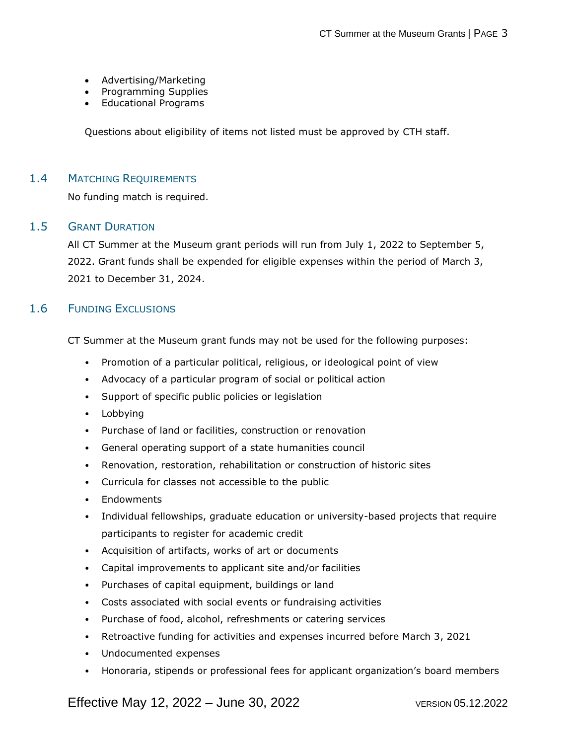- Advertising/Marketing
- Programming Supplies
- Educational Programs

Questions about eligibility of items not listed must be approved by CTH staff.

#### 1.4 MATCHING REQUIREMENTS

No funding match is required.

#### 1.5 GRANT DURATION

All CT Summer at the Museum grant periods will run from July 1, 2022 to September 5, 2022. Grant funds shall be expended for eligible expenses within the period of March 3, 2021 to December 31, 2024.

#### 1.6 FUNDING EXCLUSIONS

CT Summer at the Museum grant funds may not be used for the following purposes:

- Promotion of a particular political, religious, or ideological point of view
- Advocacy of a particular program of social or political action
- Support of specific public policies or legislation
- Lobbying
- Purchase of land or facilities, construction or renovation
- General operating support of a state humanities council
- Renovation, restoration, rehabilitation or construction of historic sites
- Curricula for classes not accessible to the public
- Endowments
- Individual fellowships, graduate education or university-based projects that require participants to register for academic credit
- Acquisition of artifacts, works of art or documents
- Capital improvements to applicant site and/or facilities
- Purchases of capital equipment, buildings or land
- Costs associated with social events or fundraising activities
- Purchase of food, alcohol, refreshments or catering services
- Retroactive funding for activities and expenses incurred before March 3, 2021
- Undocumented expenses
- Honoraria, stipends or professional fees for applicant organization's board members

Effective May 12, 2022 – June 30, 2022 VERSION 05.12.2022